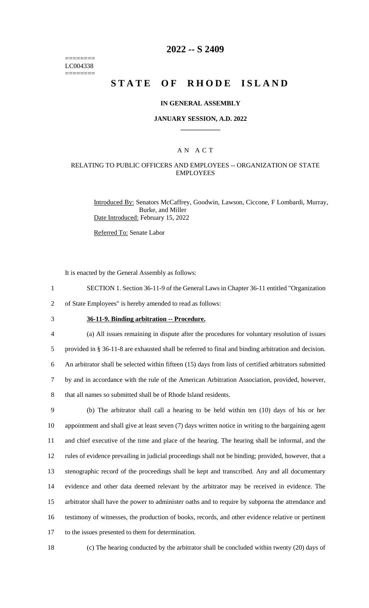======== LC004338 ========

## **2022 -- S 2409**

# **STATE OF RHODE ISLAND**

### **IN GENERAL ASSEMBLY**

#### **JANUARY SESSION, A.D. 2022 \_\_\_\_\_\_\_\_\_\_\_\_**

### A N A C T

### RELATING TO PUBLIC OFFICERS AND EMPLOYEES -- ORGANIZATION OF STATE EMPLOYEES

Introduced By: Senators McCaffrey, Goodwin, Lawson, Ciccone, F Lombardi, Murray, Burke, and Miller Date Introduced: February 15, 2022

Referred To: Senate Labor

It is enacted by the General Assembly as follows:

- 1 SECTION 1. Section 36-11-9 of the General Laws in Chapter 36-11 entitled "Organization
- 2 of State Employees" is hereby amended to read as follows:
- 

## 3 **36-11-9. Binding arbitration -- Procedure.**

 (a) All issues remaining in dispute after the procedures for voluntary resolution of issues provided in § 36-11-8 are exhausted shall be referred to final and binding arbitration and decision. An arbitrator shall be selected within fifteen (15) days from lists of certified arbitrators submitted by and in accordance with the rule of the American Arbitration Association, provided, however, that all names so submitted shall be of Rhode Island residents.

 (b) The arbitrator shall call a hearing to be held within ten (10) days of his or her appointment and shall give at least seven (7) days written notice in writing to the bargaining agent and chief executive of the time and place of the hearing. The hearing shall be informal, and the rules of evidence prevailing in judicial proceedings shall not be binding; provided, however, that a stenographic record of the proceedings shall be kept and transcribed. Any and all documentary evidence and other data deemed relevant by the arbitrator may be received in evidence. The arbitrator shall have the power to administer oaths and to require by subpoena the attendance and testimony of witnesses, the production of books, records, and other evidence relative or pertinent to the issues presented to them for determination.

18 (c) The hearing conducted by the arbitrator shall be concluded within twenty (20) days of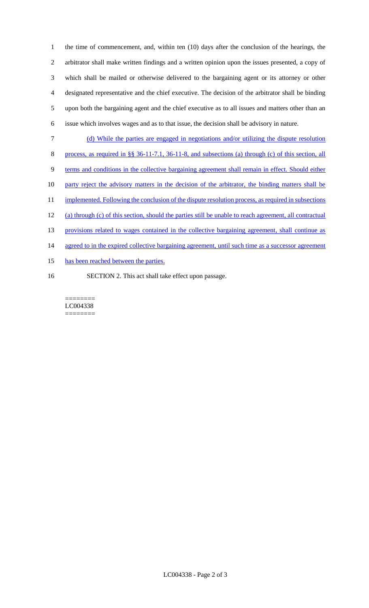the time of commencement, and, within ten (10) days after the conclusion of the hearings, the arbitrator shall make written findings and a written opinion upon the issues presented, a copy of which shall be mailed or otherwise delivered to the bargaining agent or its attorney or other designated representative and the chief executive. The decision of the arbitrator shall be binding upon both the bargaining agent and the chief executive as to all issues and matters other than an issue which involves wages and as to that issue, the decision shall be advisory in nature.

- 7 (d) While the parties are engaged in negotiations and/or utilizing the dispute resolution
- 8 process, as required in §§ 36-11-7.1, 36-11-8, and subsections (a) through (c) of this section, all
- 9 terms and conditions in the collective bargaining agreement shall remain in effect. Should either
- 10 party reject the advisory matters in the decision of the arbitrator, the binding matters shall be
- 11 implemented. Following the conclusion of the dispute resolution process, as required in subsections
- 12 (a) through (c) of this section, should the parties still be unable to reach agreement, all contractual
- 13 provisions related to wages contained in the collective bargaining agreement, shall continue as
- 14 agreed to in the expired collective bargaining agreement, until such time as a successor agreement
- 15 has been reached between the parties.
- 16 SECTION 2. This act shall take effect upon passage.

======== LC004338 ========